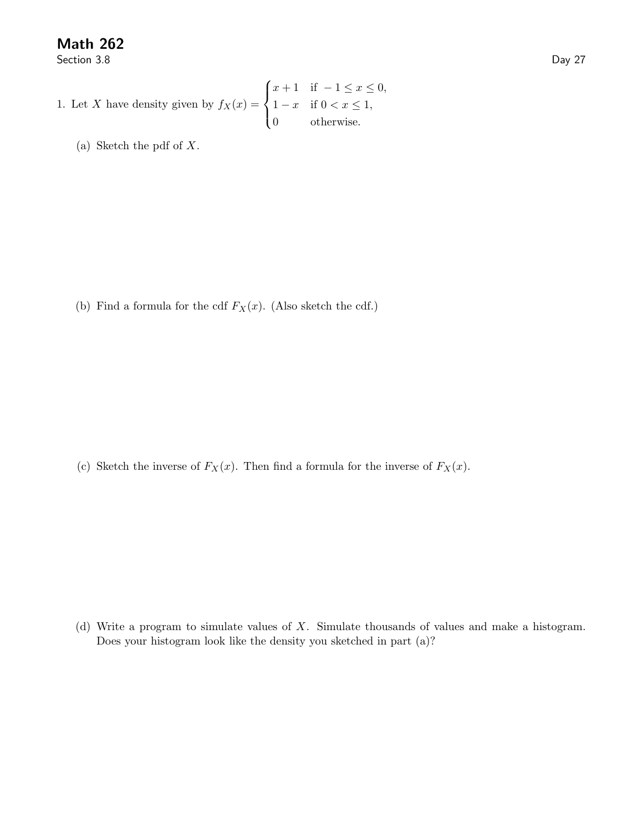Math 262

Section 3.8 Day 27

1. Let X have density given by 
$$
f_X(x) = \begin{cases} x+1 & \text{if } -1 \leq x \leq 0, \\ 1-x & \text{if } 0 < x \leq 1, \\ 0 & \text{otherwise.} \end{cases}
$$

(a) Sketch the pdf of X.

(b) Find a formula for the cdf  $F_X(x)$ . (Also sketch the cdf.)

(c) Sketch the inverse of  $F_X(x)$ . Then find a formula for the inverse of  $F_X(x)$ .

(d) Write a program to simulate values of X. Simulate thousands of values and make a histogram. Does your histogram look like the density you sketched in part (a)?